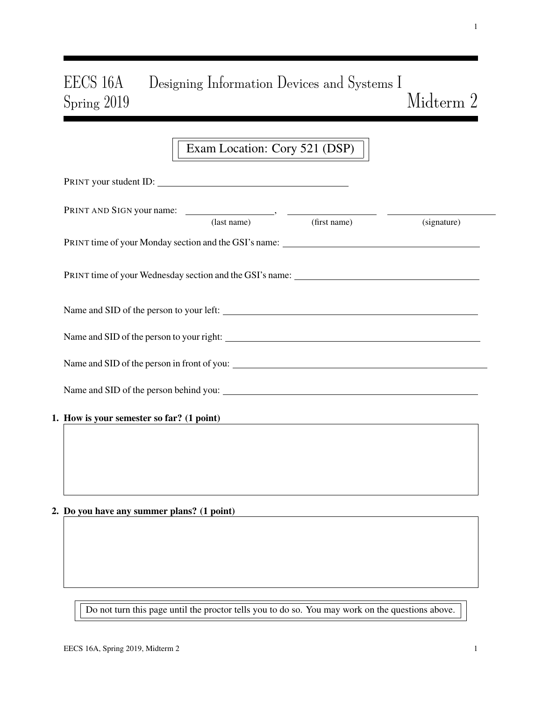# EECS 16A Designing Information Devices and Systems I  $\emph{Midterm}$  2

## Exam Location: Cory 521 (DSP)

|  | PRINT your student ID:                     |             |              |             |  |
|--|--------------------------------------------|-------------|--------------|-------------|--|
|  |                                            | (last name) | (first name) | (signature) |  |
|  |                                            |             |              |             |  |
|  |                                            |             |              |             |  |
|  |                                            |             |              |             |  |
|  |                                            |             |              |             |  |
|  |                                            |             |              |             |  |
|  |                                            |             |              |             |  |
|  | 1. How is your semester so far? (1 point)  |             |              |             |  |
|  |                                            |             |              |             |  |
|  |                                            |             |              |             |  |
|  | 2. Do you have any summer plans? (1 point) |             |              |             |  |
|  |                                            |             |              |             |  |

Do not turn this page until the proctor tells you to do so. You may work on the questions above.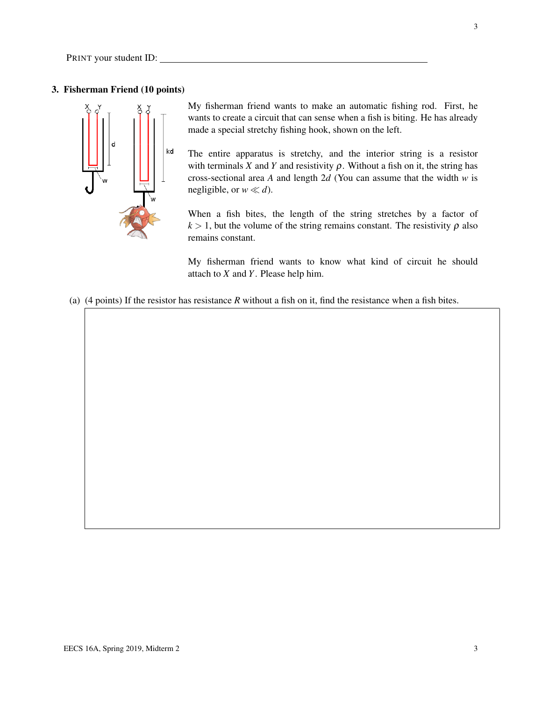### 3. Fisherman Friend (10 points)



My fisherman friend wants to make an automatic fishing rod. First, he wants to create a circuit that can sense when a fish is biting. He has already made a special stretchy fishing hook, shown on the left.

The entire apparatus is stretchy, and the interior string is a resistor with terminals *X* and *Y* and resistivity  $\rho$ . Without a fish on it, the string has cross-sectional area *A* and length 2*d* (You can assume that the width *w* is negligible, or  $w \ll d$ ).

When a fish bites, the length of the string stretches by a factor of  $k > 1$ , but the volume of the string remains constant. The resistivity  $\rho$  also remains constant.

My fisherman friend wants to know what kind of circuit he should attach to *X* and *Y*. Please help him.

(a) (4 points) If the resistor has resistance *R* without a fish on it, find the resistance when a fish bites.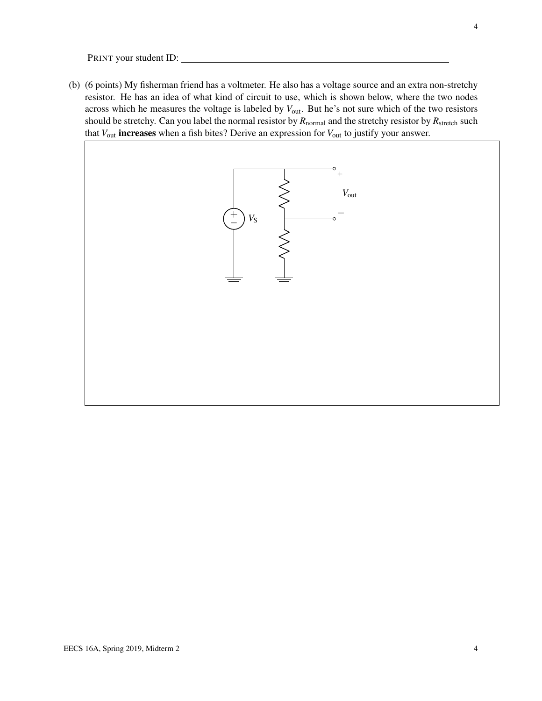(b) (6 points) My fisherman friend has a voltmeter. He also has a voltage source and an extra non-stretchy resistor. He has an idea of what kind of circuit to use, which is shown below, where the two nodes across which he measures the voltage is labeled by  $V_{\text{out}}$ . But he's not sure which of the two resistors should be stretchy. Can you label the normal resistor by  $R_{normal}$  and the stretchy resistor by  $R_{stretch}$  such that *V*out increases when a fish bites? Derive an expression for *V*out to justify your answer.

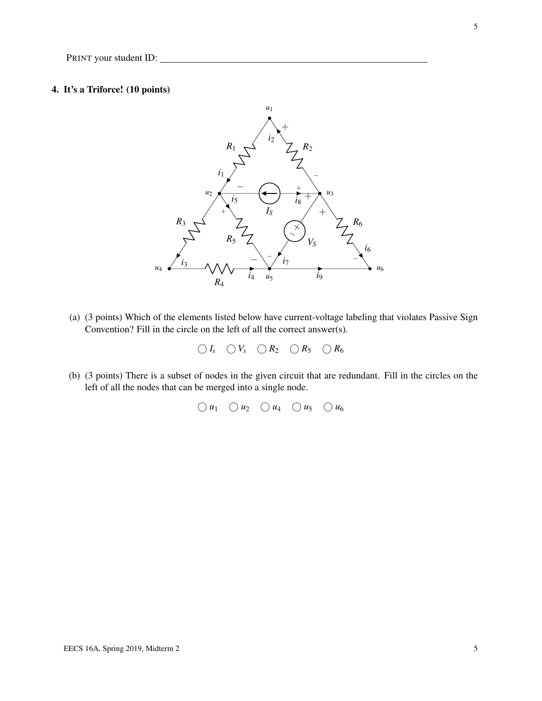#### 4. It's a Triforce! (10 points)



(a) (3 points) Which of the elements listed below have current-voltage labeling that violates Passive Sign Convention? Fill in the circle on the left of all the correct answer(s).

 $\bigcirc I_s$   $\bigcirc V_s$   $\bigcirc R_2$   $\bigcirc R_5$   $\bigcirc R_6$ 

(b) (3 points) There is a subset of nodes in the given circuit that are redundant. Fill in the circles on the left of all the nodes that can be merged into a single node.

 $\bigcirc u_1 \bigcirc u_2 \bigcirc u_4 \bigcirc u_5 \bigcirc u_6$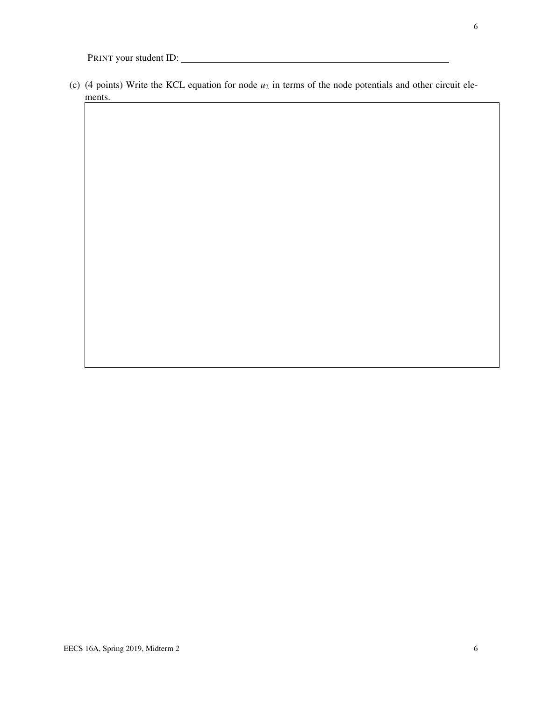(c) (4 points) Write the KCL equation for node  $u_2$  in terms of the node potentials and other circuit elements.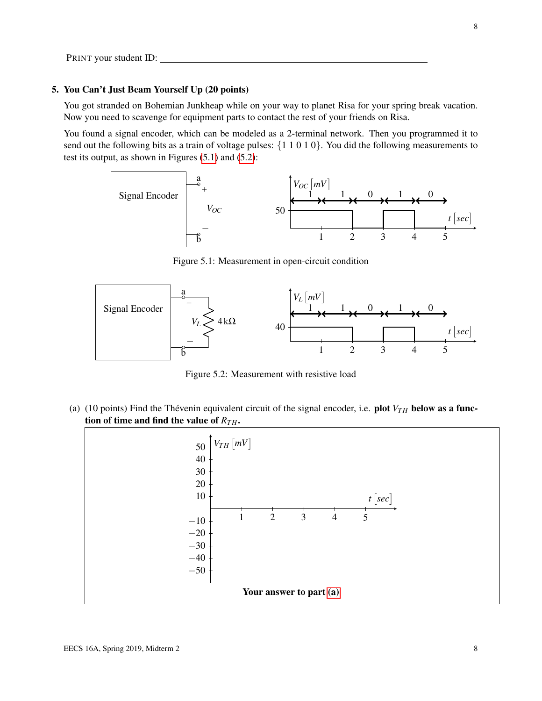#### 5. You Can't Just Beam Yourself Up (20 points)

You got stranded on Bohemian Junkheap while on your way to planet Risa for your spring break vacation. Now you need to scavenge for equipment parts to contact the rest of your friends on Risa.

<span id="page-7-0"></span>You found a signal encoder, which can be modeled as a 2-terminal network. Then you programmed it to send out the following bits as a train of voltage pulses: {1 1 0 1 0}. You did the following measurements to test its output, as shown in Figures [\(5.1\)](#page-7-0) and [\(5.2\)](#page-7-1):



Figure 5.1: Measurement in open-circuit condition

<span id="page-7-1"></span>

Figure 5.2: Measurement with resistive load

<span id="page-7-2"></span>(a) (10 points) Find the Thévenin equivalent circuit of the signal encoder, i.e. plot  $V_{TH}$  below as a function of time and find the value of  $R_{TH}$ .

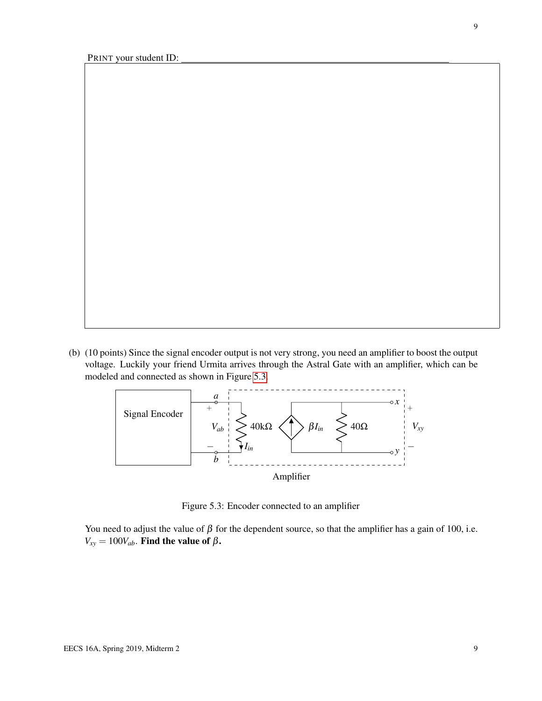9

<span id="page-8-0"></span>(b) (10 points) Since the signal encoder output is not very strong, you need an amplifier to boost the output voltage. Luckily your friend Urmita arrives through the Astral Gate with an amplifier, which can be modeled and connected as shown in Figure [5.3.](#page-8-0)



Figure 5.3: Encoder connected to an amplifier

You need to adjust the value of  $\beta$  for the dependent source, so that the amplifier has a gain of 100, i.e.  $V_{xy} = 100V_{ab}$ . Find the value of  $\beta$ .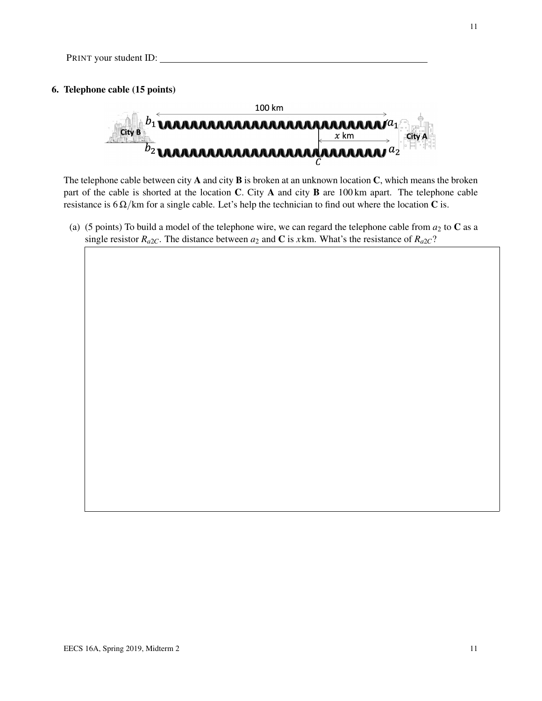#### 6. Telephone cable (15 points)



The telephone cable between city  $A$  and city  $B$  is broken at an unknown location  $C$ , which means the broken part of the cable is shorted at the location C. City A and city B are 100 km apart. The telephone cable resistance is  $6 \Omega/km$  for a single cable. Let's help the technician to find out where the location C is.

(a) (5 points) To build a model of the telephone wire, we can regard the telephone cable from  $a_2$  to  $C$  as a single resistor  $R_{a2}$ . The distance between  $a_2$  and C is *x*km. What's the resistance of  $R_{a2}$ ?

11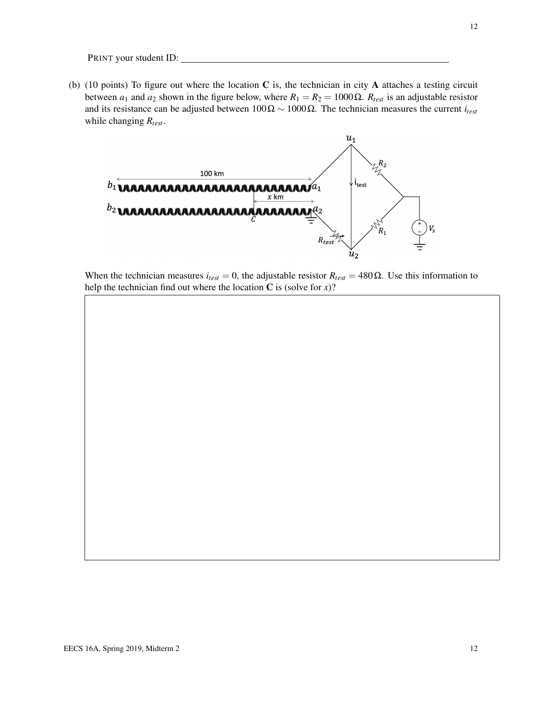(b) (10 points) To figure out where the location  $C$  is, the technician in city  $A$  attaches a testing circuit between *a*<sub>1</sub> and *a*<sub>2</sub> shown in the figure below, where  $R_1 = R_2 = 1000$  Ω.  $R_{test}$  is an adjustable resistor and its resistance can be adjusted between 100Ω ∼ 1000Ω. The technician measures the current *itest* while changing *Rtest*.



When the technician measures  $i_{test} = 0$ , the adjustable resistor  $R_{test} = 480 \Omega$ . Use this information to help the technician find out where the location  $C$  is (solve for  $x$ )?

12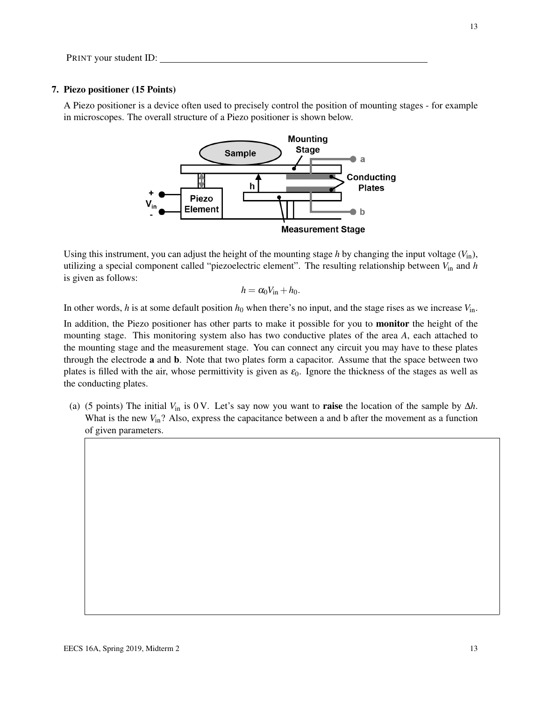#### 7. Piezo positioner (15 Points)

A Piezo positioner is a device often used to precisely control the position of mounting stages - for example in microscopes. The overall structure of a Piezo positioner is shown below.



Using this instrument, you can adjust the height of the mounting stage *h* by changing the input voltage  $(V_{in})$ , utilizing a special component called "piezoelectric element". The resulting relationship between *V*in and *h* is given as follows:

$$
h=\alpha_0 V_{\rm in}+h_0.
$$

In other words, *h* is at some default position  $h_0$  when there's no input, and the stage rises as we increase  $V_{\text{in}}$ .

In addition, the Piezo positioner has other parts to make it possible for you to **monitor** the height of the mounting stage. This monitoring system also has two conductive plates of the area *A*, each attached to the mounting stage and the measurement stage. You can connect any circuit you may have to these plates through the electrode a and b. Note that two plates form a capacitor. Assume that the space between two plates is filled with the air, whose permittivity is given as  $\varepsilon_0$ . Ignore the thickness of the stages as well as the conducting plates.

(a) (5 points) The initial  $V_{\text{in}}$  is 0 V. Let's say now you want to **raise** the location of the sample by  $\Delta h$ . What is the new  $V_{\text{in}}$ ? Also, express the capacitance between a and b after the movement as a function of given parameters.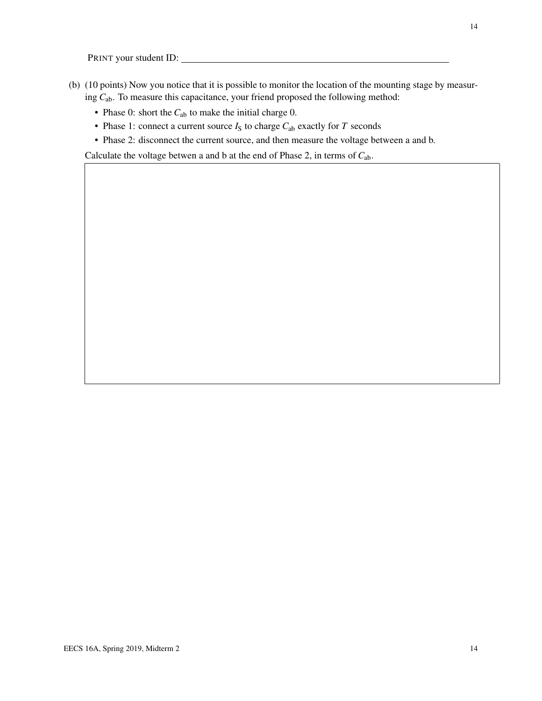- (b) (10 points) Now you notice that it is possible to monitor the location of the mounting stage by measuring *C*ab. To measure this capacitance, your friend proposed the following method:
	- Phase 0: short the  $C_{ab}$  to make the initial charge 0.
	- Phase 1: connect a current source  $I_S$  to charge  $C_{ab}$  exactly for  $T$  seconds
	- Phase 2: disconnect the current source, and then measure the voltage between a and b.

Calculate the voltage betwen a and b at the end of Phase 2, in terms of *C*ab.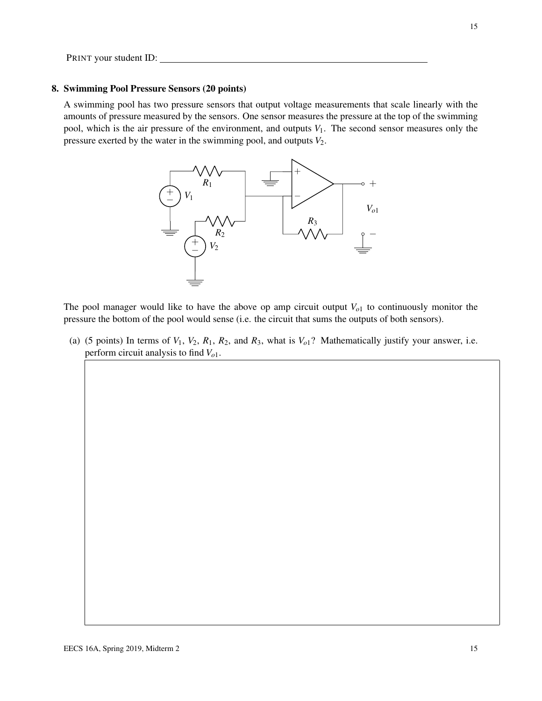#### 8. Swimming Pool Pressure Sensors (20 points)

A swimming pool has two pressure sensors that output voltage measurements that scale linearly with the amounts of pressure measured by the sensors. One sensor measures the pressure at the top of the swimming pool, which is the air pressure of the environment, and outputs  $V_1$ . The second sensor measures only the pressure exerted by the water in the swimming pool, and outputs *V*2.



The pool manager would like to have the above op amp circuit output  $V_{o1}$  to continuously monitor the pressure the bottom of the pool would sense (i.e. the circuit that sums the outputs of both sensors).

(a) (5 points) In terms of  $V_1$ ,  $V_2$ ,  $R_1$ ,  $R_2$ , and  $R_3$ , what is  $V_0$ <sup>2</sup>. Mathematically justify your answer, i.e. perform circuit analysis to find *Vo*1.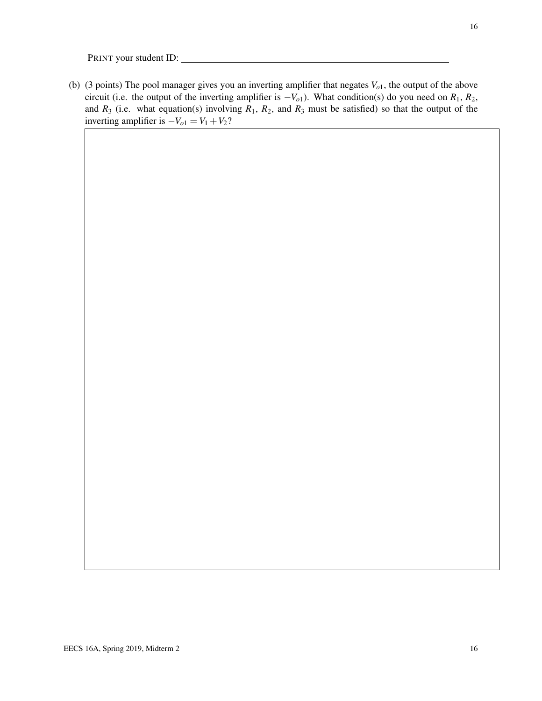(b) (3 points) The pool manager gives you an inverting amplifier that negates *Vo*1, the output of the above circuit (i.e. the output of the inverting amplifier is  $-V<sub>o1</sub>$ ). What condition(s) do you need on  $R<sub>1</sub>$ ,  $R<sub>2</sub>$ , and  $R_3$  (i.e. what equation(s) involving  $R_1$ ,  $R_2$ , and  $R_3$  must be satisfied) so that the output of the inverting amplifier is  $-V_{o1} = V_1 + V_2$ ?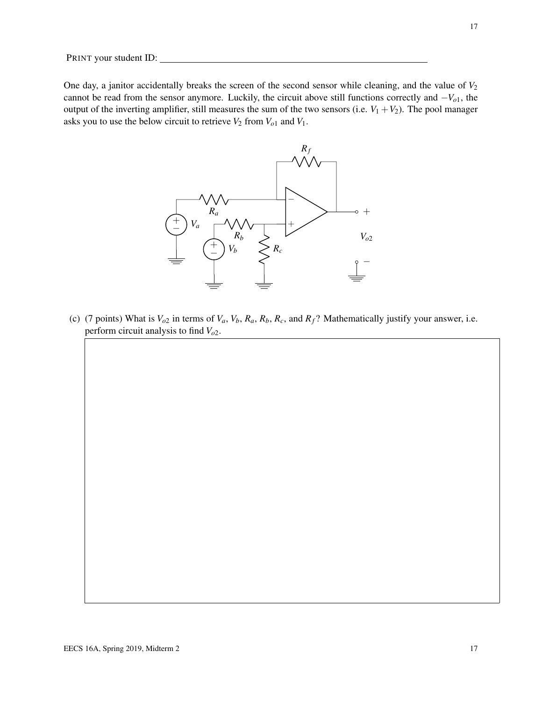One day, a janitor accidentally breaks the screen of the second sensor while cleaning, and the value of  $V_2$ cannot be read from the sensor anymore. Luckily, the circuit above still functions correctly and −*Vo*1, the output of the inverting amplifier, still measures the sum of the two sensors (i.e.  $V_1 + V_2$ ). The pool manager asks you to use the below circuit to retrieve  $V_2$  from  $V_{o1}$  and  $V_1$ .



(c) (7 points) What is  $V_{o2}$  in terms of  $V_a$ ,  $V_b$ ,  $R_a$ ,  $R_b$ ,  $R_c$ , and  $R_f$ ? Mathematically justify your answer, i.e. perform circuit analysis to find *Vo*2.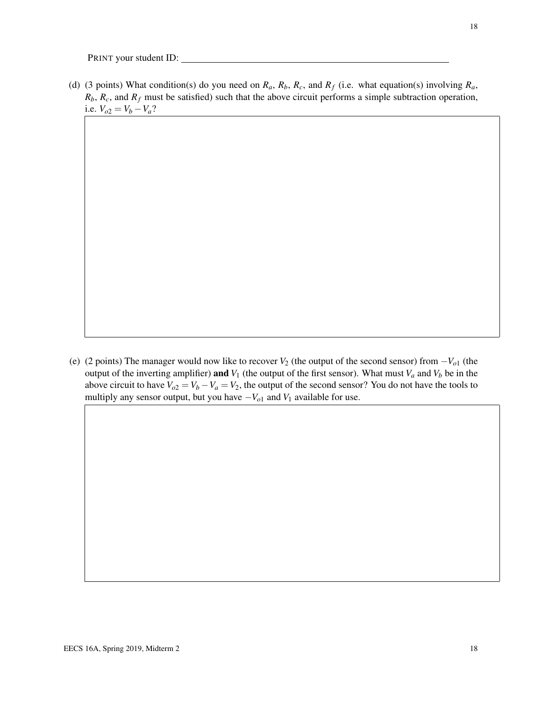(d) (3 points) What condition(s) do you need on  $R_a$ ,  $R_b$ ,  $R_c$ , and  $R_f$  (i.e. what equation(s) involving  $R_a$ ,  $R_b$ ,  $R_c$ , and  $R_f$  must be satisfied) such that the above circuit performs a simple subtraction operation, i.e.  $V_{o2} = V_b - V_a$ ?

(e) (2 points) The manager would now like to recover *V*<sup>2</sup> (the output of the second sensor) from −*Vo*<sup>1</sup> (the output of the inverting amplifier) and  $V_1$  (the output of the first sensor). What must  $V_a$  and  $V_b$  be in the above circuit to have  $V_{o2} = V_b - V_a = V_2$ , the output of the second sensor? You do not have the tools to multiply any sensor output, but you have  $-V_{o1}$  and  $V_1$  available for use.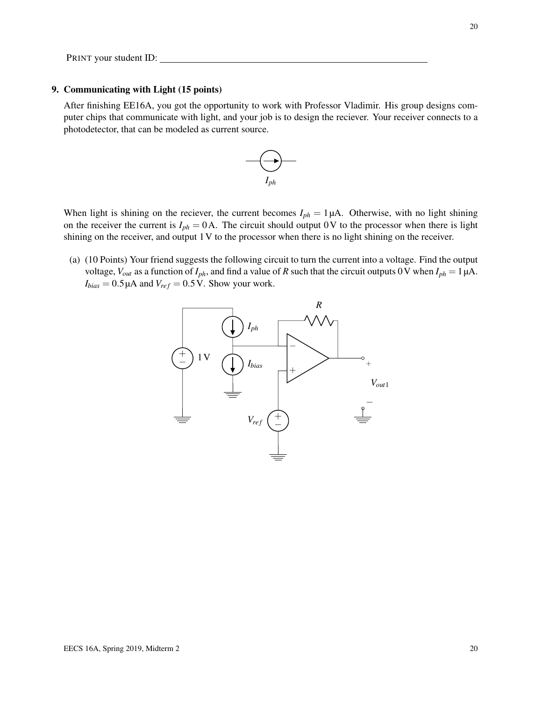#### 9. Communicating with Light (15 points)

After finishing EE16A, you got the opportunity to work with Professor Vladimir. His group designs computer chips that communicate with light, and your job is to design the reciever. Your receiver connects to a photodetector, that can be modeled as current source.



When light is shining on the reciever, the current becomes  $I_{ph} = 1 \mu A$ . Otherwise, with no light shining on the receiver the current is  $I_{ph} = 0$ A. The circuit should output 0V to the processor when there is light shining on the receiver, and output 1V to the processor when there is no light shining on the receiver.

(a) (10 Points) Your friend suggests the following circuit to turn the current into a voltage. Find the output voltage,  $V_{out}$  as a function of  $I_{ph}$ , and find a value of *R* such that the circuit outputs 0 V when  $I_{ph} = 1 \mu A$ .  $I_{bias} = 0.5 \mu A$  and  $V_{ref} = 0.5 V$ . Show your work.

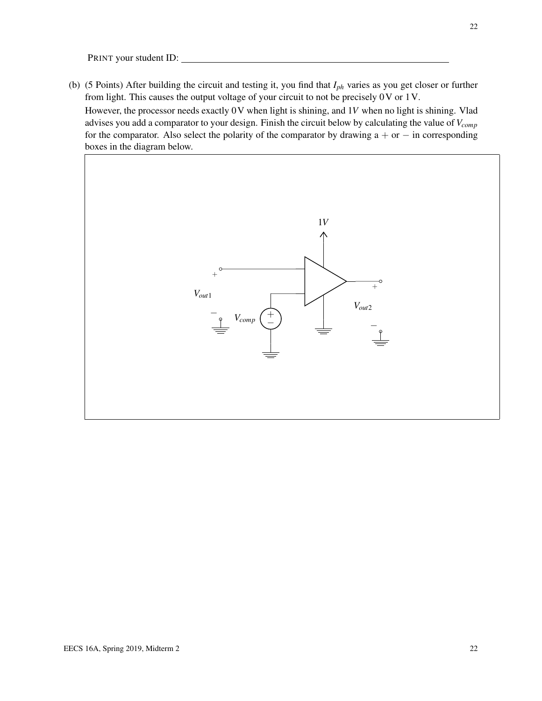(b) (5 Points) After building the circuit and testing it, you find that *Iph* varies as you get closer or further from light. This causes the output voltage of your circuit to not be precisely 0V or 1V.

However, the processor needs exactly 0V when light is shining, and 1*V* when no light is shining. Vlad advises you add a comparator to your design. Finish the circuit below by calculating the value of *Vcomp* for the comparator. Also select the polarity of the comparator by drawing  $a + or - in$  corresponding boxes in the diagram below.

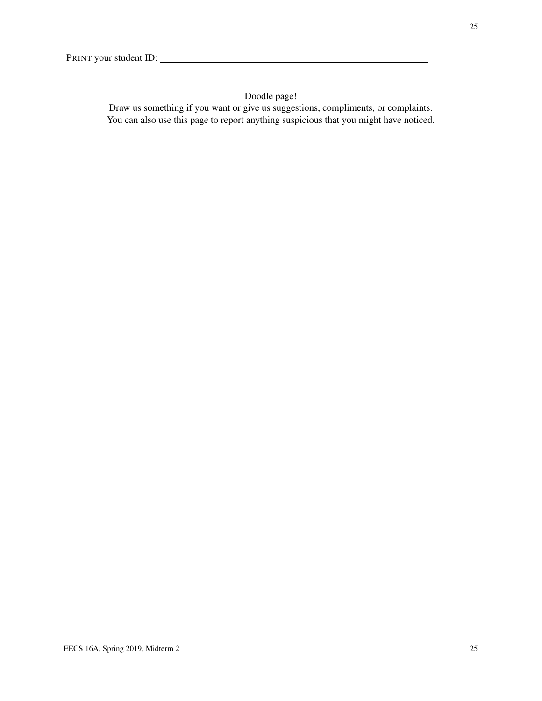## Doodle page!

Draw us something if you want or give us suggestions, compliments, or complaints. You can also use this page to report anything suspicious that you might have noticed.